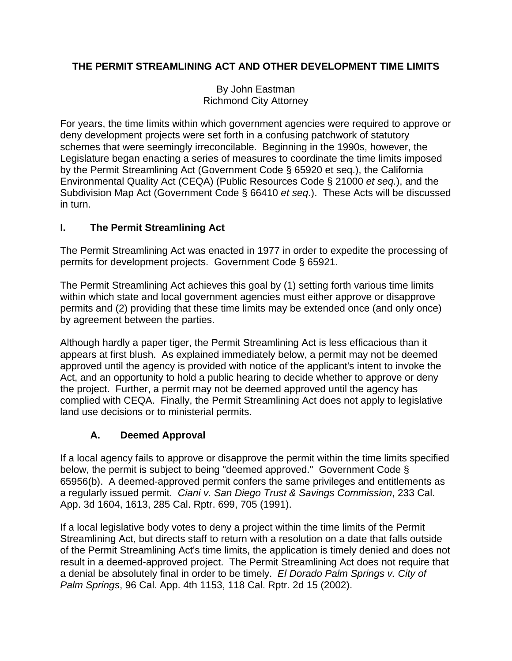### **THE PERMIT STREAMLINING ACT AND OTHER DEVELOPMENT TIME LIMITS**

By John Eastman Richmond City Attorney

For years, the time limits within which government agencies were required to approve or deny development projects were set forth in a confusing patchwork of statutory schemes that were seemingly irreconcilable. Beginning in the 1990s, however, the Legislature began enacting a series of measures to coordinate the time limits imposed by the Permit Streamlining Act (Government Code § 65920 et seq.), the California Environmental Quality Act (CEQA) (Public Resources Code § 21000 *et seq.*), and the Subdivision Map Act (Government Code § 66410 *et seq*.). These Acts will be discussed in turn.

### **I. The Permit Streamlining Act**

The Permit Streamlining Act was enacted in 1977 in order to expedite the processing of permits for development projects. Government Code § 65921.

The Permit Streamlining Act achieves this goal by (1) setting forth various time limits within which state and local government agencies must either approve or disapprove permits and (2) providing that these time limits may be extended once (and only once) by agreement between the parties.

Although hardly a paper tiger, the Permit Streamlining Act is less efficacious than it appears at first blush. As explained immediately below, a permit may not be deemed approved until the agency is provided with notice of the applicant's intent to invoke the Act, and an opportunity to hold a public hearing to decide whether to approve or deny the project. Further, a permit may not be deemed approved until the agency has complied with CEQA. Finally, the Permit Streamlining Act does not apply to legislative land use decisions or to ministerial permits.

### **A. Deemed Approval**

If a local agency fails to approve or disapprove the permit within the time limits specified below, the permit is subject to being "deemed approved." Government Code § 65956(b). A deemed-approved permit confers the same privileges and entitlements as a regularly issued permit. *Ciani v. San Diego Trust & Savings Commission*, 233 Cal. App. 3d 1604, 1613, 285 Cal. Rptr. 699, 705 (1991).

If a local legislative body votes to deny a project within the time limits of the Permit Streamlining Act, but directs staff to return with a resolution on a date that falls outside of the Permit Streamlining Act's time limits, the application is timely denied and does not result in a deemed-approved project. The Permit Streamlining Act does not require that a denial be absolutely final in order to be timely. *El Dorado Palm Springs v. City of Palm Springs*, 96 Cal. App. 4th 1153, 118 Cal. Rptr. 2d 15 (2002).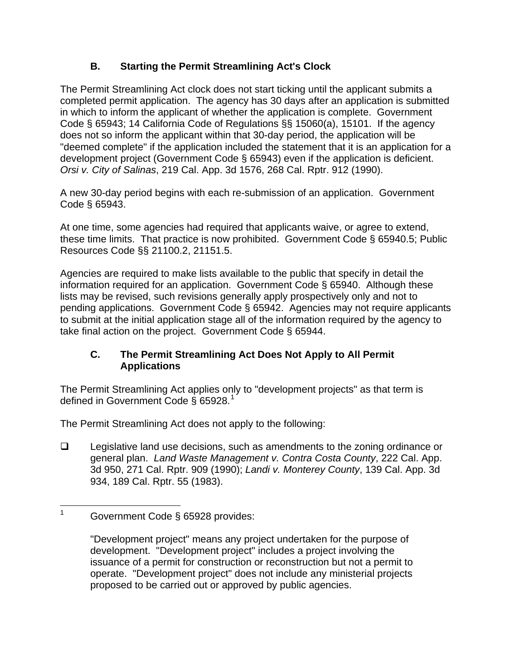## **B. Starting the Permit Streamlining Act's Clock**

The Permit Streamlining Act clock does not start ticking until the applicant submits a completed permit application. The agency has 30 days after an application is submitted in which to inform the applicant of whether the application is complete. Government Code § 65943; 14 California Code of Regulations §§ 15060(a), 15101. If the agency does not so inform the applicant within that 30-day period, the application will be "deemed complete" if the application included the statement that it is an application for a development project (Government Code § 65943) even if the application is deficient. *Orsi v. City of Salinas*, 219 Cal. App. 3d 1576, 268 Cal. Rptr. 912 (1990).

A new 30-day period begins with each re-submission of an application. Government Code § 65943.

At one time, some agencies had required that applicants waive, or agree to extend, these time limits. That practice is now prohibited. Government Code § 65940.5; Public Resources Code §§ 21100.2, 21151.5.

Agencies are required to make lists available to the public that specify in detail the information required for an application. Government Code § 65940. Although these lists may be revised, such revisions generally apply prospectively only and not to pending applications. Government Code § 65942. Agencies may not require applicants to submit at the initial application stage all of the information required by the agency to take final action on the project. Government Code § 65944.

### **C. The Permit Streamlining Act Does Not Apply to All Permit Applications**

The Permit Streamlining Act applies only to "development projects" as that term is defined in Government Code § 65928.<sup>[1](#page-1-0)</sup>

The Permit Streamlining Act does not apply to the following:

 $\Box$  Legislative land use decisions, such as amendments to the zoning ordinance or general plan. *Land Waste Management v. Contra Costa County*, 222 Cal. App. 3d 950, 271 Cal. Rptr. 909 (1990); *Landi v. Monterey County*, 139 Cal. App. 3d 934, 189 Cal. Rptr. 55 (1983).

<span id="page-1-0"></span> $\frac{1}{1}$ Government Code § 65928 provides:

<sup>&</sup>quot;Development project" means any project undertaken for the purpose of development. "Development project" includes a project involving the issuance of a permit for construction or reconstruction but not a permit to operate. "Development project" does not include any ministerial projects proposed to be carried out or approved by public agencies.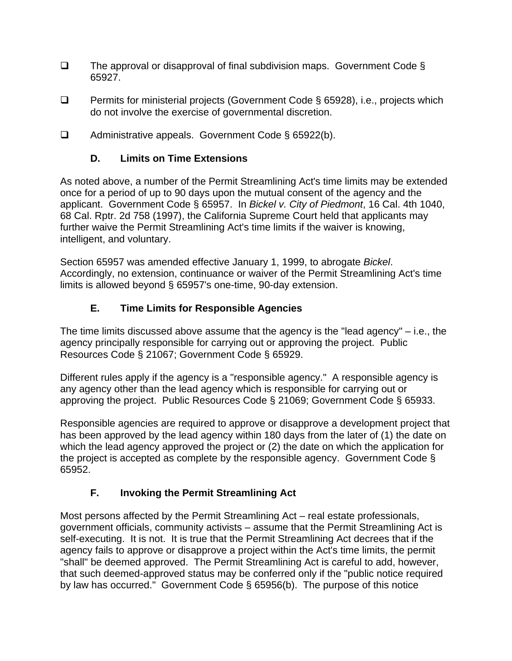- $\Box$  The approval or disapproval of final subdivision maps. Government Code § 65927.
- □ Permits for ministerial projects (Government Code § 65928), i.e., projects which do not involve the exercise of governmental discretion.
- □ Administrative appeals. Government Code § 65922(b).

### **D. Limits on Time Extensions**

As noted above, a number of the Permit Streamlining Act's time limits may be extended once for a period of up to 90 days upon the mutual consent of the agency and the applicant. Government Code § 65957. In *Bickel v. City of Piedmont*, 16 Cal. 4th 1040, 68 Cal. Rptr. 2d 758 (1997), the California Supreme Court held that applicants may further waive the Permit Streamlining Act's time limits if the waiver is knowing, intelligent, and voluntary.

Section 65957 was amended effective January 1, 1999, to abrogate *Bickel*. Accordingly, no extension, continuance or waiver of the Permit Streamlining Act's time limits is allowed beyond § 65957's one-time, 90-day extension.

### **E. Time Limits for Responsible Agencies**

The time limits discussed above assume that the agency is the "lead agency" – i.e., the agency principally responsible for carrying out or approving the project. Public Resources Code § 21067; Government Code § 65929.

Different rules apply if the agency is a "responsible agency." A responsible agency is any agency other than the lead agency which is responsible for carrying out or approving the project. Public Resources Code § 21069; Government Code § 65933.

Responsible agencies are required to approve or disapprove a development project that has been approved by the lead agency within 180 days from the later of (1) the date on which the lead agency approved the project or (2) the date on which the application for the project is accepted as complete by the responsible agency. Government Code § 65952.

### **F. Invoking the Permit Streamlining Act**

Most persons affected by the Permit Streamlining Act – real estate professionals, government officials, community activists – assume that the Permit Streamlining Act is self-executing. It is not. It is true that the Permit Streamlining Act decrees that if the agency fails to approve or disapprove a project within the Act's time limits, the permit "shall" be deemed approved. The Permit Streamlining Act is careful to add, however, that such deemed-approved status may be conferred only if the "public notice required by law has occurred." Government Code § 65956(b). The purpose of this notice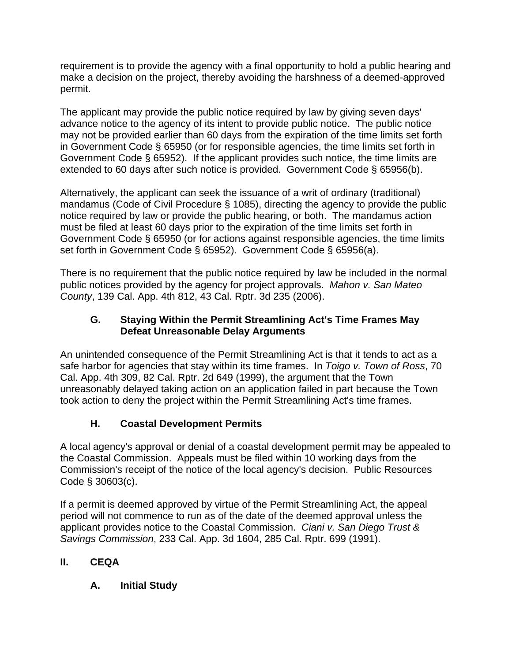requirement is to provide the agency with a final opportunity to hold a public hearing and make a decision on the project, thereby avoiding the harshness of a deemed-approved permit.

The applicant may provide the public notice required by law by giving seven days' advance notice to the agency of its intent to provide public notice. The public notice may not be provided earlier than 60 days from the expiration of the time limits set forth in Government Code § 65950 (or for responsible agencies, the time limits set forth in Government Code § 65952). If the applicant provides such notice, the time limits are extended to 60 days after such notice is provided. Government Code § 65956(b).

Alternatively, the applicant can seek the issuance of a writ of ordinary (traditional) mandamus (Code of Civil Procedure § 1085), directing the agency to provide the public notice required by law or provide the public hearing, or both. The mandamus action must be filed at least 60 days prior to the expiration of the time limits set forth in Government Code § 65950 (or for actions against responsible agencies, the time limits set forth in Government Code § 65952). Government Code § 65956(a).

There is no requirement that the public notice required by law be included in the normal public notices provided by the agency for project approvals. *Mahon v. San Mateo County*, 139 Cal. App. 4th 812, 43 Cal. Rptr. 3d 235 (2006).

### **G. Staying Within the Permit Streamlining Act's Time Frames May Defeat Unreasonable Delay Arguments**

An unintended consequence of the Permit Streamlining Act is that it tends to act as a safe harbor for agencies that stay within its time frames. In *Toigo v. Town of Ross*, 70 Cal. App. 4th 309, 82 Cal. Rptr. 2d 649 (1999), the argument that the Town unreasonably delayed taking action on an application failed in part because the Town took action to deny the project within the Permit Streamlining Act's time frames.

# **H. Coastal Development Permits**

A local agency's approval or denial of a coastal development permit may be appealed to the Coastal Commission. Appeals must be filed within 10 working days from the Commission's receipt of the notice of the local agency's decision. Public Resources Code § 30603(c).

If a permit is deemed approved by virtue of the Permit Streamlining Act, the appeal period will not commence to run as of the date of the deemed approval unless the applicant provides notice to the Coastal Commission. *Ciani v. San Diego Trust & Savings Commission*, 233 Cal. App. 3d 1604, 285 Cal. Rptr. 699 (1991).

# **II. CEQA**

# **A. Initial Study**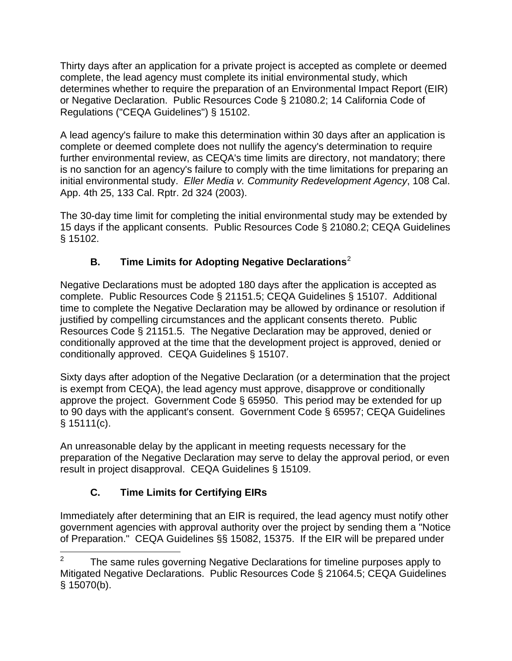Thirty days after an application for a private project is accepted as complete or deemed complete, the lead agency must complete its initial environmental study, which determines whether to require the preparation of an Environmental Impact Report (EIR) or Negative Declaration. Public Resources Code § 21080.2; 14 California Code of Regulations ("CEQA Guidelines") § 15102.

A lead agency's failure to make this determination within 30 days after an application is complete or deemed complete does not nullify the agency's determination to require further environmental review, as CEQA's time limits are directory, not mandatory; there is no sanction for an agency's failure to comply with the time limitations for preparing an initial environmental study. *Eller Media v. Community Redevelopment Agency*, 108 Cal. App. 4th 25, 133 Cal. Rptr. 2d 324 (2003).

The 30-day time limit for completing the initial environmental study may be extended by 15 days if the applicant consents. Public Resources Code § 21080.2; CEQA Guidelines § 15102.

# **B. Time Limits for Adopting Negative Declarations**[2](#page-4-0)

Negative Declarations must be adopted 180 days after the application is accepted as complete. Public Resources Code § 21151.5; CEQA Guidelines § 15107. Additional time to complete the Negative Declaration may be allowed by ordinance or resolution if justified by compelling circumstances and the applicant consents thereto. Public Resources Code § 21151.5. The Negative Declaration may be approved, denied or conditionally approved at the time that the development project is approved, denied or conditionally approved. CEQA Guidelines § 15107.

Sixty days after adoption of the Negative Declaration (or a determination that the project is exempt from CEQA), the lead agency must approve, disapprove or conditionally approve the project. Government Code § 65950. This period may be extended for up to 90 days with the applicant's consent. Government Code § 65957; CEQA Guidelines  $§ 15111(c).$ 

An unreasonable delay by the applicant in meeting requests necessary for the preparation of the Negative Declaration may serve to delay the approval period, or even result in project disapproval. CEQA Guidelines § 15109.

# **C. Time Limits for Certifying EIRs**

Immediately after determining that an EIR is required, the lead agency must notify other government agencies with approval authority over the project by sending them a "Notice of Preparation." CEQA Guidelines §§ 15082, 15375. If the EIR will be prepared under

<span id="page-4-0"></span> $\overline{a}$ 2 The same rules governing Negative Declarations for timeline purposes apply to Mitigated Negative Declarations. Public Resources Code § 21064.5; CEQA Guidelines § 15070(b).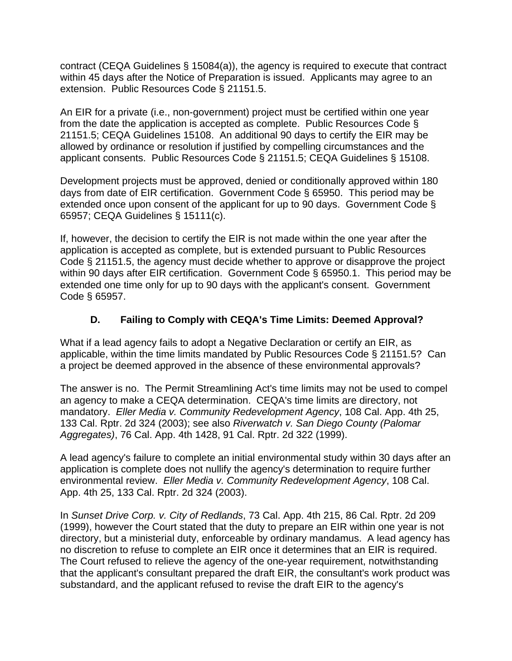contract (CEQA Guidelines § 15084(a)), the agency is required to execute that contract within 45 days after the Notice of Preparation is issued. Applicants may agree to an extension. Public Resources Code § 21151.5.

An EIR for a private (i.e., non-government) project must be certified within one year from the date the application is accepted as complete. Public Resources Code § 21151.5; CEQA Guidelines 15108. An additional 90 days to certify the EIR may be allowed by ordinance or resolution if justified by compelling circumstances and the applicant consents. Public Resources Code § 21151.5; CEQA Guidelines § 15108.

Development projects must be approved, denied or conditionally approved within 180 days from date of EIR certification. Government Code § 65950. This period may be extended once upon consent of the applicant for up to 90 days. Government Code § 65957; CEQA Guidelines § 15111(c).

If, however, the decision to certify the EIR is not made within the one year after the application is accepted as complete, but is extended pursuant to Public Resources Code § 21151.5, the agency must decide whether to approve or disapprove the project within 90 days after EIR certification. Government Code § 65950.1. This period may be extended one time only for up to 90 days with the applicant's consent. Government Code § 65957.

### **D. Failing to Comply with CEQA's Time Limits: Deemed Approval?**

What if a lead agency fails to adopt a Negative Declaration or certify an EIR, as applicable, within the time limits mandated by Public Resources Code § 21151.5? Can a project be deemed approved in the absence of these environmental approvals?

The answer is no. The Permit Streamlining Act's time limits may not be used to compel an agency to make a CEQA determination. CEQA's time limits are directory, not mandatory. *Eller Media v. Community Redevelopment Agency*, 108 Cal. App. 4th 25, 133 Cal. Rptr. 2d 324 (2003); see also *Riverwatch v. San Diego County (Palomar Aggregates)*, 76 Cal. App. 4th 1428, 91 Cal. Rptr. 2d 322 (1999).

A lead agency's failure to complete an initial environmental study within 30 days after an application is complete does not nullify the agency's determination to require further environmental review. *Eller Media v. Community Redevelopment Agency*, 108 Cal. App. 4th 25, 133 Cal. Rptr. 2d 324 (2003).

In *Sunset Drive Corp. v. City of Redlands*, 73 Cal. App. 4th 215, 86 Cal. Rptr. 2d 209 (1999), however the Court stated that the duty to prepare an EIR within one year is not directory, but a ministerial duty, enforceable by ordinary mandamus. A lead agency has no discretion to refuse to complete an EIR once it determines that an EIR is required. The Court refused to relieve the agency of the one-year requirement, notwithstanding that the applicant's consultant prepared the draft EIR, the consultant's work product was substandard, and the applicant refused to revise the draft EIR to the agency's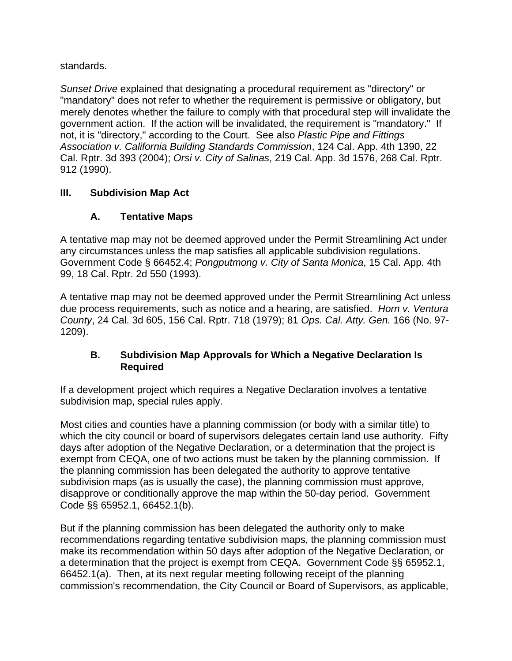standards.

*Sunset Drive* explained that designating a procedural requirement as "directory" or "mandatory" does not refer to whether the requirement is permissive or obligatory, but merely denotes whether the failure to comply with that procedural step will invalidate the government action. If the action will be invalidated, the requirement is "mandatory." If not, it is "directory," according to the Court. See also *Plastic Pipe and Fittings Association v. California Building Standards Commission*, 124 Cal. App. 4th 1390, 22 Cal. Rptr. 3d 393 (2004); *Orsi v. City of Salinas*, 219 Cal. App. 3d 1576, 268 Cal. Rptr. 912 (1990).

### **III. Subdivision Map Act**

# **A. Tentative Maps**

A tentative map may not be deemed approved under the Permit Streamlining Act under any circumstances unless the map satisfies all applicable subdivision regulations. Government Code § 66452.4; *Pongputmong v. City of Santa Monica*, 15 Cal. App. 4th 99, 18 Cal. Rptr. 2d 550 (1993).

A tentative map may not be deemed approved under the Permit Streamlining Act unless due process requirements, such as notice and a hearing, are satisfied. *Horn v. Ventura County*, 24 Cal. 3d 605, 156 Cal. Rptr. 718 (1979); 81 *Ops. Cal. Atty. Gen.* 166 (No. 97- 1209).

### **B. Subdivision Map Approvals for Which a Negative Declaration Is Required**

If a development project which requires a Negative Declaration involves a tentative subdivision map, special rules apply.

Most cities and counties have a planning commission (or body with a similar title) to which the city council or board of supervisors delegates certain land use authority. Fifty days after adoption of the Negative Declaration, or a determination that the project is exempt from CEQA, one of two actions must be taken by the planning commission. If the planning commission has been delegated the authority to approve tentative subdivision maps (as is usually the case), the planning commission must approve, disapprove or conditionally approve the map within the 50-day period. Government Code §§ 65952.1, 66452.1(b).

But if the planning commission has been delegated the authority only to make recommendations regarding tentative subdivision maps, the planning commission must make its recommendation within 50 days after adoption of the Negative Declaration, or a determination that the project is exempt from CEQA. Government Code §§ 65952.1, 66452.1(a). Then, at its next regular meeting following receipt of the planning commission's recommendation, the City Council or Board of Supervisors, as applicable,